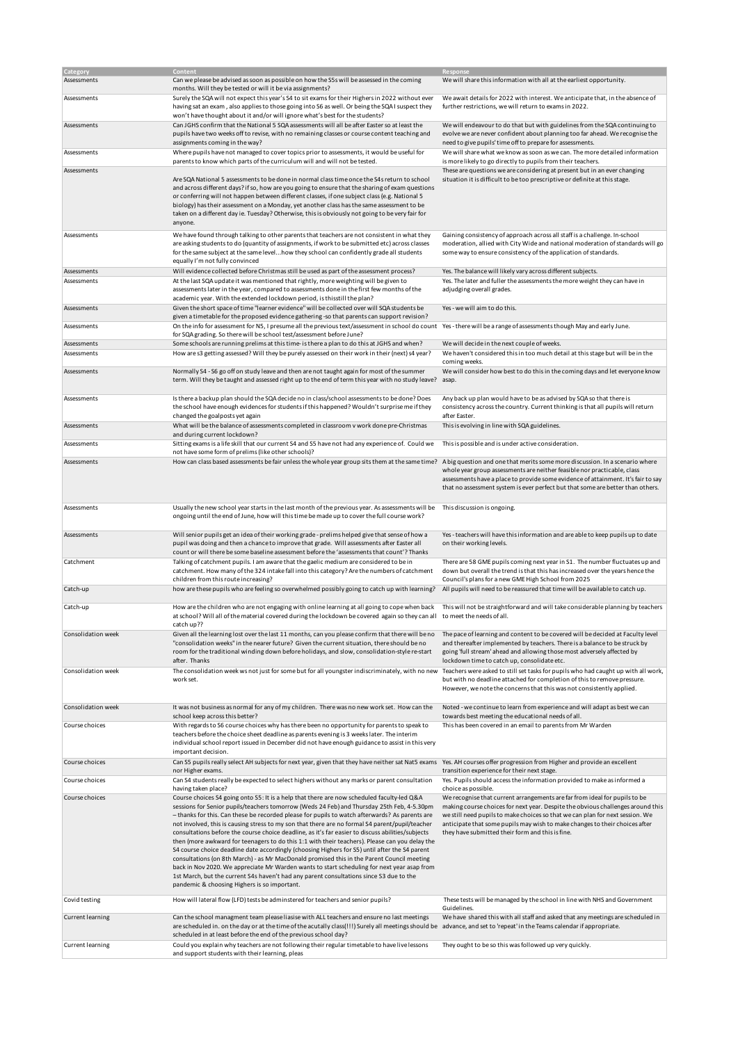| Category                | Content                                                                                                                                                                                                                                                                                                                                                                                                                                                                                                                                                                                                                                                                                                                                                                                                                                                                                                                                                                                                                                        | Response                                                                                                                                                                                                                                                                                                                                                                          |
|-------------------------|------------------------------------------------------------------------------------------------------------------------------------------------------------------------------------------------------------------------------------------------------------------------------------------------------------------------------------------------------------------------------------------------------------------------------------------------------------------------------------------------------------------------------------------------------------------------------------------------------------------------------------------------------------------------------------------------------------------------------------------------------------------------------------------------------------------------------------------------------------------------------------------------------------------------------------------------------------------------------------------------------------------------------------------------|-----------------------------------------------------------------------------------------------------------------------------------------------------------------------------------------------------------------------------------------------------------------------------------------------------------------------------------------------------------------------------------|
| Assessments             | Can we please be advised as soon as possible on how the S5s will be assessed in the coming<br>months. Will they be tested or will it be via assignments?                                                                                                                                                                                                                                                                                                                                                                                                                                                                                                                                                                                                                                                                                                                                                                                                                                                                                       | We will share this information with all at the earliest opportunity.                                                                                                                                                                                                                                                                                                              |
| Assessments             | Surely the SQA will not expect this year's S4 to sit exams for their Highers in 2022 without ever<br>having sat an exam, also applies to those going into S6 as well. Or being the SQA I suspect they<br>won't have thought about it and/or will ignore what's best for the students?                                                                                                                                                                                                                                                                                                                                                                                                                                                                                                                                                                                                                                                                                                                                                          | We await details for 2022 with interest. We anticipate that, in the absence of<br>further restrictions, we will return to exams in 2022.                                                                                                                                                                                                                                          |
| Assessments             | Can JGHS confirm that the National 5 SQA assessments will all be after Easter so at least the<br>pupils have two weeks off to revise, with no remaining classes or course content teaching and<br>assignments coming in the way?                                                                                                                                                                                                                                                                                                                                                                                                                                                                                                                                                                                                                                                                                                                                                                                                               | We will endeavour to do that but with guidelines from the SQA continuing to<br>evolve we are never confident about planning too far ahead. We recognise the<br>need to give pupils' time off to prepare for assessments.                                                                                                                                                          |
| Assessments             | Where pupils have not managed to cover topics prior to assessments, it would be useful for<br>parents to know which parts of the curriculum will and will not be tested.                                                                                                                                                                                                                                                                                                                                                                                                                                                                                                                                                                                                                                                                                                                                                                                                                                                                       | We will share what we know as soon as we can. The more detailed information<br>is more likely to go directly to pupils from their teachers.                                                                                                                                                                                                                                       |
| Assessments             | Are SQA National 5 assessments to be done in normal class time once the S4s return to school<br>and across different days? if so, how are you going to ensure that the sharing of exam questions<br>or conferring will not happen between different classes, if one subject class (e.g. National 5<br>biology) has their assessment on a Monday, yet another class has the same assessment to be<br>taken on a different day ie. Tuesday? Otherwise, this is obviously not going to be very fair for<br>anyone.                                                                                                                                                                                                                                                                                                                                                                                                                                                                                                                                | These are questions we are considering at present but in an ever changing<br>situation it is difficult to be too prescriptive or definite at this stage.                                                                                                                                                                                                                          |
| Assessments             | We have found through talking to other parents that teachers are not consistent in what they<br>are asking students to do (quantity of assignments, if work to be submitted etc) across classes<br>for the same subject at the same levelhow they school can confidently grade all students<br>equally I'm not fully convinced                                                                                                                                                                                                                                                                                                                                                                                                                                                                                                                                                                                                                                                                                                                 | Gaining consistency of approach across all staff is a challenge. In-school<br>moderation, allied with City Wide and national moderation of standards will go<br>some way to ensure consistency of the application of standards.                                                                                                                                                   |
| Assessments             | Will evidence collected before Christmas still be used as part of the assessment process?                                                                                                                                                                                                                                                                                                                                                                                                                                                                                                                                                                                                                                                                                                                                                                                                                                                                                                                                                      | Yes. The balance will likely vary across different subjects.                                                                                                                                                                                                                                                                                                                      |
| Assessments             | At the last SQA update it was mentioned that rightly, more weighting will be given to<br>assessments later in the year, compared to assessments done in the first few months of the<br>academic year. With the extended lockdown period, is thisstill the plan?                                                                                                                                                                                                                                                                                                                                                                                                                                                                                                                                                                                                                                                                                                                                                                                | Yes. The later and fuller the assessments the more weight they can have in<br>adjudging overall grades.                                                                                                                                                                                                                                                                           |
| Assessments             | Given the short space of time "learner evidence" will be collected over will SQA students be<br>given a timetable for the proposed evidence gathering -so that parents can support revision?                                                                                                                                                                                                                                                                                                                                                                                                                                                                                                                                                                                                                                                                                                                                                                                                                                                   | Yes - we will aim to do this.                                                                                                                                                                                                                                                                                                                                                     |
| Assessments             | On the info for assessment for N5, I presume all the previous text/assessment in school do count Yes-there will be a range of assessments though May and early June.<br>for SQA grading. So there will be school test/assessment before June?                                                                                                                                                                                                                                                                                                                                                                                                                                                                                                                                                                                                                                                                                                                                                                                                  |                                                                                                                                                                                                                                                                                                                                                                                   |
| Assessments             | Some schools are running prelims at this time- is there a plan to do this at JGHS and when?                                                                                                                                                                                                                                                                                                                                                                                                                                                                                                                                                                                                                                                                                                                                                                                                                                                                                                                                                    | We will decide in the next couple of weeks.                                                                                                                                                                                                                                                                                                                                       |
| Assessments             | How are s3 getting assessed? Will they be purely assessed on their work in their (next) s4 year?                                                                                                                                                                                                                                                                                                                                                                                                                                                                                                                                                                                                                                                                                                                                                                                                                                                                                                                                               | We haven't considered this in too much detail at this stage but will be in the<br>coming weeks.                                                                                                                                                                                                                                                                                   |
| Assessments             | Normally S4 - S6 go off on study leave and then are not taught again for most of the summer<br>term. Will they be taught and assessed right up to the end of term this year with no study leave?                                                                                                                                                                                                                                                                                                                                                                                                                                                                                                                                                                                                                                                                                                                                                                                                                                               | We will consider how best to do this in the coming days and let everyone know<br>asap.                                                                                                                                                                                                                                                                                            |
| Assessments             | Is there a backup plan should the SQA decide no in class/school assessments to be done? Does<br>the school have enough evidences for students if this happened? Wouldn't surprise me if they<br>changed the goalposts yet again                                                                                                                                                                                                                                                                                                                                                                                                                                                                                                                                                                                                                                                                                                                                                                                                                | Any back up plan would have to be as advised by SQA so that there is<br>consistency across the country. Current thinking is that all pupils will return<br>after Easter.                                                                                                                                                                                                          |
| Assessments             | What will be the balance of assessments completed in classroom v work done pre-Christmas<br>and during current lockdown?                                                                                                                                                                                                                                                                                                                                                                                                                                                                                                                                                                                                                                                                                                                                                                                                                                                                                                                       | This is evolving in line with SQA guidelines.                                                                                                                                                                                                                                                                                                                                     |
| Assessments             | Sitting exams is a life skill that our current S4 and S5 have not had any experience of. Could we<br>not have some form of prelims (like other schools)?                                                                                                                                                                                                                                                                                                                                                                                                                                                                                                                                                                                                                                                                                                                                                                                                                                                                                       | This is possible and is under active consideration.                                                                                                                                                                                                                                                                                                                               |
| Assessments             | How can class based assessments be fair unless the whole year group sits them at the same time? A big question and one that merits some more discussion. In a scenario where                                                                                                                                                                                                                                                                                                                                                                                                                                                                                                                                                                                                                                                                                                                                                                                                                                                                   | whole year group assessments are neither feasible nor practicable, class<br>assessments have a place to provide some evidence of attainment. It's fair to say<br>that no assessment system is ever perfect but that some are better than others.                                                                                                                                  |
| Assessments             | Usually the new school year starts in the last month of the previous year. As assessments will be<br>ongoing until the end of June, how will this time be made up to cover the full course work?                                                                                                                                                                                                                                                                                                                                                                                                                                                                                                                                                                                                                                                                                                                                                                                                                                               | This discussion is ongoing.                                                                                                                                                                                                                                                                                                                                                       |
| Assessments             | Will senior pupils get an idea of their working grade - prelims helped give that sense of how a<br>pupil was doing and then a chance to improve that grade. Will assessments after Easter all<br>count or will there be some baseline assessment before the 'assessments that count'? Thanks                                                                                                                                                                                                                                                                                                                                                                                                                                                                                                                                                                                                                                                                                                                                                   | Yes - teachers will have this information and are able to keep pupils up to date<br>on their working levels.                                                                                                                                                                                                                                                                      |
| Catchment               | Talking of catchment pupils. I am aware that the gaelic medium are considered to be in<br>catchment. How many of the 324 intake fall into this category? Are the numbers of catchment<br>children from this route increasing?                                                                                                                                                                                                                                                                                                                                                                                                                                                                                                                                                                                                                                                                                                                                                                                                                  | There are 58 GME pupils coming next year in S1. The number fluctuates up and<br>down but overall the trend is that this has increased over the years hence the<br>Council's plans for a new GME High School from 2025                                                                                                                                                             |
| Catch-up                | how are these pupils who are feeling so overwhelmed possibly going to catch up with learning?                                                                                                                                                                                                                                                                                                                                                                                                                                                                                                                                                                                                                                                                                                                                                                                                                                                                                                                                                  | All pupils will need to be reassured that time will be available to catch up.                                                                                                                                                                                                                                                                                                     |
| Catch-up                | How are the children who are not engaging with online learning at all going to cope when back<br>at school? Will all of the material covered during the lockdown be covered again so they can all to meet the needs of all.<br>catch up??                                                                                                                                                                                                                                                                                                                                                                                                                                                                                                                                                                                                                                                                                                                                                                                                      | This will not be straightforward and will take considerable planning by teachers                                                                                                                                                                                                                                                                                                  |
| Consolidation week      | Given all the learning lost over the last 11 months, can you please confirm that there will be no<br>"consolidation weeks" in the nearer future? Given the current situation, there should be no<br>room for the traditional winding down before holidays, and slow, consolidation-style re-start<br>after. Thanks                                                                                                                                                                                                                                                                                                                                                                                                                                                                                                                                                                                                                                                                                                                             | The pace of learning and content to be covered will be decided at Faculty level<br>and thereafter implemented by teachers. There is a balance to be struck by<br>going 'full stream' ahead and allowing those most adversely affected by<br>lockdown time to catch up, consolidate etc.                                                                                           |
| Consolidation week      | The consolidation week ws not just for some but for all youngster indiscriminately, with no new Teachers were asked to still set tasks for pupils who had caught up with all work,<br>work set.                                                                                                                                                                                                                                                                                                                                                                                                                                                                                                                                                                                                                                                                                                                                                                                                                                                | but with no deadline attached for completion of this to remove pressure.<br>However, we note the concerns that this was not consistently applied.                                                                                                                                                                                                                                 |
| Consolidation week      | It was not business as normal for any of my children. There was no new work set. How can the<br>school keep across this better?                                                                                                                                                                                                                                                                                                                                                                                                                                                                                                                                                                                                                                                                                                                                                                                                                                                                                                                | Noted - we continue to learn from experience and will adapt as best we can<br>towards best meeting the educational needs of all.                                                                                                                                                                                                                                                  |
| Course choices          | With regards to S6 course choices why has there been no opportunity for parents to speak to<br>teachers before the choice sheet deadline as parents evening is 3 weeks later. The interim<br>individual school report issued in December did not have enough guidance to assist in this very<br>important decision.                                                                                                                                                                                                                                                                                                                                                                                                                                                                                                                                                                                                                                                                                                                            | This has been covered in an email to parents from Mr Warden                                                                                                                                                                                                                                                                                                                       |
| Course choices          | Can S5 pupils really select AH subjects for next year, given that they have neither sat Nat5 exams Yes. AH courses offer progression from Higher and provide an excellent<br>nor Higher exams.                                                                                                                                                                                                                                                                                                                                                                                                                                                                                                                                                                                                                                                                                                                                                                                                                                                 | transition experience for their next stage.                                                                                                                                                                                                                                                                                                                                       |
| Course choices          | Can S4 students really be expected to select highers without any marks or parent consultation<br>having taken place?                                                                                                                                                                                                                                                                                                                                                                                                                                                                                                                                                                                                                                                                                                                                                                                                                                                                                                                           | Yes. Pupils should access the information provided to make as informed a<br>choice as possible.                                                                                                                                                                                                                                                                                   |
| Course choices          | Course choices S4 going onto S5: It is a help that there are now scheduled faculty-led Q&A<br>sessions for Senior pupils/teachers tomorrow (Weds 24 Feb) and Thursday 25th Feb, 4-5.30pm<br>- thanks for this. Can these be recorded please for pupils to watch afterwards? As parents are<br>not involved, this is causing stress to my son that there are no formal S4 parent/pupil/teacher<br>consultations before the course choice deadline, as it's far easier to discuss abilities/subjects<br>then (more awkward for teenagers to do this 1:1 with their teachers). Please can you delay the<br>S4 course choice deadline date accordingly (choosing Highers for S5) until after the S4 parent<br>consultations (on 8th March) - as Mr MacDonald promised this in the Parent Council meeting<br>back in Nov 2020. We appreciate Mr Warden wants to start scheduling for next year asap from<br>1st March, but the current S4s haven't had any parent consultations since S3 due to the<br>pandemic & choosing Highers is so important. | We recognise that current arrangements are far from ideal for pupils to be<br>making course choices for next year. Despite the obvious challenges around this<br>we still need pupils to make choices so that we can plan for next session. We<br>anticipate that some pupils may wish to make changes to their choices after<br>they have submitted their form and this is fine. |
| Covid testing           | How will lateral flow (LFD) tests be adminstered for teachers and senior pupils?                                                                                                                                                                                                                                                                                                                                                                                                                                                                                                                                                                                                                                                                                                                                                                                                                                                                                                                                                               | These tests will be managed by the school in line with NHS and Government<br>Guidelines.                                                                                                                                                                                                                                                                                          |
| <b>Current learning</b> | Can the school managment team please liasise with ALL teachers and ensure no last meetings<br>are scheduled in. on the day or at the time of the acutally class(!!!) Surely all meetings should be<br>scheduled in at least before the end of the previous school day?                                                                                                                                                                                                                                                                                                                                                                                                                                                                                                                                                                                                                                                                                                                                                                         | We have shared this with all staff and asked that any meetings are scheduled in<br>advance, and set to 'repeat' in the Teams calendar if appropriate.                                                                                                                                                                                                                             |
| <b>Current learning</b> | Could you explain why teachers are not following their regular timetable to have live lessons<br>and support students with their learning, pleas                                                                                                                                                                                                                                                                                                                                                                                                                                                                                                                                                                                                                                                                                                                                                                                                                                                                                               | They ought to be so this was followed up very quickly.                                                                                                                                                                                                                                                                                                                            |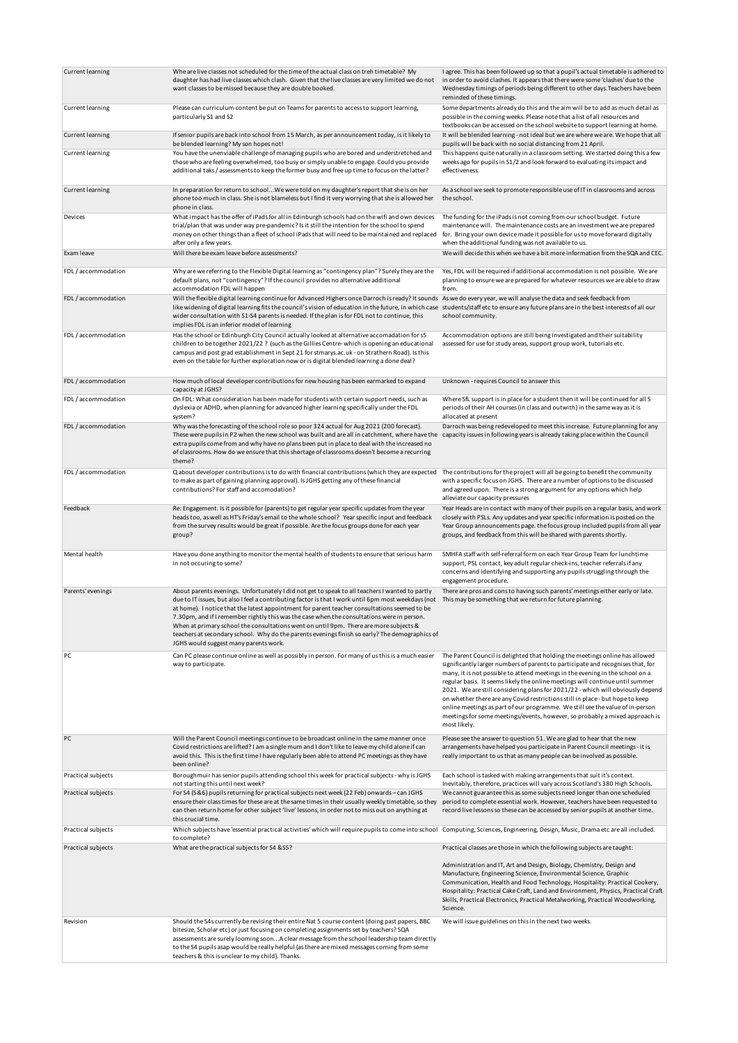| <b>Current learning</b> | Whe are live classes not scheduled for the time of the actual class on treh timetable? My<br>daughter has had live classes which clash. Given that the live classes are very limited we do not<br>want classes to be missed because they are double booked.                                                                                                                                                                                                                                                                                                                                                                              | I agree. This has been followed up so that a pupil's actual timetable is adhered to<br>in order to avoid clashes. It appears that there were some 'clashes' due to the<br>Wednesday timings of periods being different to other days. Teachers have been<br>reminded of these timings.                                                                                                                                                                                                                                                                                                                                                                                               |
|-------------------------|------------------------------------------------------------------------------------------------------------------------------------------------------------------------------------------------------------------------------------------------------------------------------------------------------------------------------------------------------------------------------------------------------------------------------------------------------------------------------------------------------------------------------------------------------------------------------------------------------------------------------------------|--------------------------------------------------------------------------------------------------------------------------------------------------------------------------------------------------------------------------------------------------------------------------------------------------------------------------------------------------------------------------------------------------------------------------------------------------------------------------------------------------------------------------------------------------------------------------------------------------------------------------------------------------------------------------------------|
| Current learning        | Please can curriculum content be put on Teams for parents to access to support learning,<br>particularly S1 and S2                                                                                                                                                                                                                                                                                                                                                                                                                                                                                                                       | Some departments already do this and the aim will be to add as much detail as<br>possible in the coming weeks. Please note that a list of all resources and<br>textbooks can be accessed on the school website to support learning at home.                                                                                                                                                                                                                                                                                                                                                                                                                                          |
| <b>Current learning</b> | If senior pupils are back into school from 15 March, as per announcement today, is it likely to<br>be blended learning? My son hopes not!                                                                                                                                                                                                                                                                                                                                                                                                                                                                                                | It will be blended learning - not ideal but we are where we are. We hope that all<br>pupils will be back with no social distancing from 21 April.                                                                                                                                                                                                                                                                                                                                                                                                                                                                                                                                    |
| Current learning        | You have the unenviable challenge of managing pupils who are bored and understretched and<br>those who are feeling overwhelmed, too busy or simply unable to engage. Could you provide<br>additional taks / assessments to keep the former busy and free up time to focus on the latter?                                                                                                                                                                                                                                                                                                                                                 | This happens quite naturally in a classroom setting. We started doing this a few<br>weeks ago for pupils in S1/2 and look forward to evaluating its impact and<br>effectiveness.                                                                                                                                                                                                                                                                                                                                                                                                                                                                                                     |
| Current learning        | In preparation for return to schoolWe were told on my daughter's report that she is on her<br>phone too much in class. She is not blameless but I find it very worrying that she is allowed her<br>phone in class.                                                                                                                                                                                                                                                                                                                                                                                                                       | As a school we seek to promote responsible use of IT in classrooms and across<br>the school.                                                                                                                                                                                                                                                                                                                                                                                                                                                                                                                                                                                         |
| Devices                 | What impact has the offer of iPads for all in Edinburgh schools had on the wifi and own devices<br>trial/plan that was under way pre-pandemic? Is it still the intention for the school to spend<br>money on other things than a fleet of school iPads that will need to be maintained and replaced<br>after only a few years.                                                                                                                                                                                                                                                                                                           | The funding for the iPads is not coming from our school budget. Future<br>maintenance will. The maintenance costs are an investment we are prepared<br>for. Bring your own device made it possible for us to move forward digitally<br>when the additional funding was not available to us.                                                                                                                                                                                                                                                                                                                                                                                          |
| Exam leave              | Will there be exam leave before assessments?                                                                                                                                                                                                                                                                                                                                                                                                                                                                                                                                                                                             | We will decide this when we have a bit more information from the SQA and CEC.                                                                                                                                                                                                                                                                                                                                                                                                                                                                                                                                                                                                        |
| FDL / accommodation     | Why are we referring to the Flexible Digital learning as "contingency plan"? Surely they are the<br>default plans, not "contingency"? If the council provides no alternative additional<br>accommodation FDL will happen                                                                                                                                                                                                                                                                                                                                                                                                                 | Yes, FDL will be required if additional accommodation is not possible. We are<br>planning to ensure we are prepared for whatever resources we are able to draw<br>from.                                                                                                                                                                                                                                                                                                                                                                                                                                                                                                              |
| FDL / accommodation     | Will the flexible digital learning continue for Advanced Highers once Darroch is ready? It sounds<br>like widening of digital learning fits the council's vision of education in the future, in which case students/staff etc to ensure any future plans are in the best interests of all our<br>wider consultation with S1-S4 parents is needed. If the plan is for FDL not to continue, this<br>implies FDL is an inferior model of learning                                                                                                                                                                                           | As we do every year, we will analyse the data and seek feedback from<br>school community.                                                                                                                                                                                                                                                                                                                                                                                                                                                                                                                                                                                            |
| FDL / accommodation     | Has the school or Edinburgh City Council actually looked at alternative accomadation for s5<br>children to be together 2021/22 ? (such as the Gillies Centre-which is opening an educational<br>campus and post grad establishment in Sept 21 for stmarys.ac.uk - on Strathern Road). Is this<br>even on the table for further exploration now or is digital blended learning a done deal?                                                                                                                                                                                                                                               | Accommodation options are still being investigated and their suitability<br>assessed for use for study areas, support group work, tutorials etc.                                                                                                                                                                                                                                                                                                                                                                                                                                                                                                                                     |
| FDL / accommodation     | How much of local developer contributions for new housing has been earmarked to expand<br>capacity at JGHS?                                                                                                                                                                                                                                                                                                                                                                                                                                                                                                                              | Unknown - requires Council to answer this                                                                                                                                                                                                                                                                                                                                                                                                                                                                                                                                                                                                                                            |
| FDL / accommodation     | On FDL: What consideration has been made for students with certain support needs, such as<br>dyslexia or ADHD, when planning for advanced higher learning specifically under the FDL<br>system?                                                                                                                                                                                                                                                                                                                                                                                                                                          | Where SfL support is in place for a student then it will be continued for all 5<br>periods of their AH courses (in class and outwith) in the same way as it is<br>allocated at present                                                                                                                                                                                                                                                                                                                                                                                                                                                                                               |
| FDL / accommodation     | Why was the forecasting of the school role so poor 324 actual for Aug 2021 (200 forecast).<br>These were pupils in P2 when the new school was built and are all in catchment, where have the<br>extra pupils come from and why have no plans been put in place to deal with the increased no<br>of classrooms. How do we ensure that this shortage of classrooms doesn't become a recurring<br>theme?                                                                                                                                                                                                                                    | Darroch was being redeveloped to meet this increase. Future planning for any<br>capacity issues in following years is already taking place within the Council                                                                                                                                                                                                                                                                                                                                                                                                                                                                                                                        |
| FDL / accommodation     | Q about developer contributions is to do with financial contributions (which they are expected<br>to make as part of gaining planning approval). Is JGHS getting any of these financial<br>contributions? For staff and accomodation?                                                                                                                                                                                                                                                                                                                                                                                                    | The contributions for the project will all be going to benefit the community<br>with a specific focus on JGHS. There are a number of options to be discussed<br>and agreed upon. There is a strong argument for any options which help<br>alleviate our capacity pressures                                                                                                                                                                                                                                                                                                                                                                                                           |
| Feedback                | Re: Engagement. Is it possible for (parents) to get regular year specific updates from the year<br>heads too, as well as HT's Friday's email to the whole school? Year specific input and feedback<br>from the survey results would be great if possible. Are the focus groups done for each year<br>group?                                                                                                                                                                                                                                                                                                                              | Year Heads are in contact with many of their pupils on a regular basis, and work<br>closely with PSLs. Any updates and year specific information is posted on the<br>Year Group announcements page. the focus group included pupils from all year<br>groups, and feedback from this will be shared with parents shortly.                                                                                                                                                                                                                                                                                                                                                             |
| Mental health           | Have you done anything to monitor the mental health of students to ensure that serious harm<br>in not occuring to some?                                                                                                                                                                                                                                                                                                                                                                                                                                                                                                                  | SMHFA staff with self-referral form on each Year Group Team for lunchtime<br>support, PSL contact, key adult regular check-ins, teacher referrals if any<br>concerns and identifying and supporting any pupils struggling through the<br>engagement procedure.                                                                                                                                                                                                                                                                                                                                                                                                                       |
| Parents' evenings       | About parents evenings. Unfortunately I did not get to speak to all teachers I wanted to partly<br>due to IT issues, but also I feel a contributing factor is that I work until 6pm most weekdays (not<br>at home). I notice that the latest appointment for parent teacher consultations seemed to be<br>7.30pm, and if I remember rightly this was the case when the consultations were in person.<br>When at primary school the consultations went on until 9pm. There are more subjects &<br>teachers at secondary school. Why do the parents evenings finish so early? The demographics of<br>JGHS would suggest many parents work. | There are pros and cons to having such parents' meetings either early or late.<br>This may be something that we return for future planning.                                                                                                                                                                                                                                                                                                                                                                                                                                                                                                                                          |
| PC                      | Can PC please continue online as well as possibly in person. For many of us this is a much easier<br>way to participate.                                                                                                                                                                                                                                                                                                                                                                                                                                                                                                                 | The Parent Council is delighted that holding the meetings online has allowed<br>significantly larger numbers of parents to participate and recognises that, for<br>many, it is not possible to attend meetings in the evening in the school on a<br>regular basis. It seems likely the online meetings will continue until summer<br>2021. We are still considering plans for 2021/22 - which will obviously depend<br>on whether there are any Covid restrictions still in place - but hope to keep<br>online meetings as part of our programme. We still see the value of in-person<br>meetings for some meetings/events, however, so probably a mixed approach is<br>most likely. |
| PC                      | Will the Parent Council meetings continue to be broadcast online in the same manner once<br>Covid restrictions are lifted? I am a single mum and I don't like to leave my child alone if can<br>avoid this. This is the first time I have regularly been able to attend PC meetings as they have<br>been online?                                                                                                                                                                                                                                                                                                                         | Please see the answer to question 51. We are glad to hear that the new<br>arrangements have helped you participate in Parent Council meetings - it is<br>really important to us that as many people can be involved as possible.                                                                                                                                                                                                                                                                                                                                                                                                                                                     |
| Practical subjects      | Boroughmuir has senior pupils attending school this week for practical subjects - why is JGHS<br>not starting this until next week?                                                                                                                                                                                                                                                                                                                                                                                                                                                                                                      | Each school is tasked with making arrangements that suit it's context.<br>Inevitably, therefore, practices will vary across Scotland's 380 High Schools.                                                                                                                                                                                                                                                                                                                                                                                                                                                                                                                             |
| Practical subjects      | For S4 (5&6) pupils returning for practical subjects next week (22 Feb) onwards - can JGHS<br>ensure their class times for these are at the same times in their usually weekly timetable, so they<br>can then return home for other subject 'live' lessons, in order not to miss out on anything at<br>this crucial time.                                                                                                                                                                                                                                                                                                                | We cannot guarantee this as some subjects need longer than one scheduled<br>period to complete essential work. However, teachers have been requested to<br>record live lessons so these can be accessed by senior pupils at another time.                                                                                                                                                                                                                                                                                                                                                                                                                                            |
| Practical subjects      | Which subjects have 'essential practical activities' which will require pupils to come into school Computing, Sciences, Engineering, Design, Music, Drama etc are all included.<br>to complete?                                                                                                                                                                                                                                                                                                                                                                                                                                          |                                                                                                                                                                                                                                                                                                                                                                                                                                                                                                                                                                                                                                                                                      |
| Practical subjects      | What are the practical subjects for S4 & S5?                                                                                                                                                                                                                                                                                                                                                                                                                                                                                                                                                                                             | Practical classes are those in which the following subjects are taught:                                                                                                                                                                                                                                                                                                                                                                                                                                                                                                                                                                                                              |
|                         |                                                                                                                                                                                                                                                                                                                                                                                                                                                                                                                                                                                                                                          | Administration and IT, Art and Design, Biology, Chemistry, Design and<br>Manufacture, Engineering Science, Environmental Science, Graphic<br>Communication, Health and Food Technology, Hospitality: Practical Cookery,<br>Hospitality: Practical Cake Craft, Land and Environment, Physics, Practical Craft<br>Skills, Practical Electronics, Practical Metalworking, Practical Woodworking,<br>Science.                                                                                                                                                                                                                                                                            |
| Revision                | Should the S4s currently be revising their entire Nat 5 course content (doing past papers, BBC<br>bitesize, Scholar etc) or just focusing on completing assignments set by teachers? SQA<br>assessments are surely looming soonA clear message from the school leadership team directly<br>to the S4 pupils asap would be really helpful (as there are mixed messages coming from some<br>teachers & this is unclear to my child). Thanks.                                                                                                                                                                                               | We will issue guidelines on this in the next two weeks.                                                                                                                                                                                                                                                                                                                                                                                                                                                                                                                                                                                                                              |